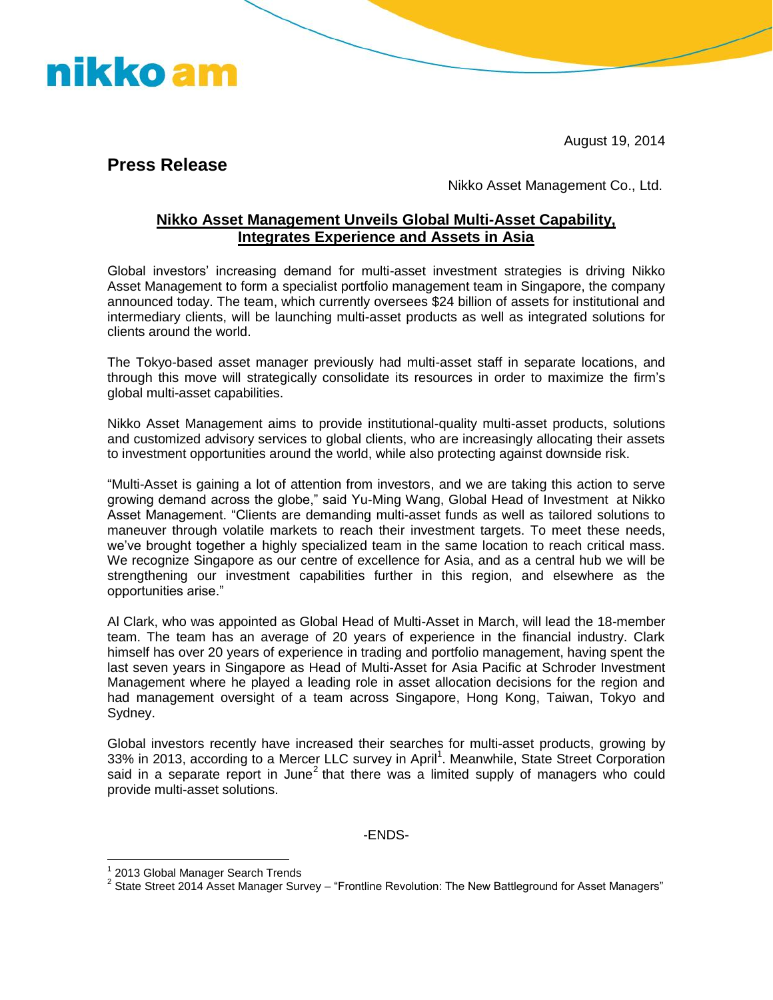August 19, 2014

**Press Release** 

nikko am

Nikko Asset Management Co., Ltd.

## **Nikko Asset Management Unveils Global Multi-Asset Capability, Integrates Experience and Assets in Asia**

Global investors' increasing demand for multi-asset investment strategies is driving Nikko Asset Management to form a specialist portfolio management team in Singapore, the company announced today. The team, which currently oversees \$24 billion of assets for institutional and intermediary clients, will be launching multi-asset products as well as integrated solutions for clients around the world.

The Tokyo-based asset manager previously had multi-asset staff in separate locations, and through this move will strategically consolidate its resources in order to maximize the firm's global multi-asset capabilities.

Nikko Asset Management aims to provide institutional-quality multi-asset products, solutions and customized advisory services to global clients, who are increasingly allocating their assets to investment opportunities around the world, while also protecting against downside risk.

"Multi-Asset is gaining a lot of attention from investors, and we are taking this action to serve growing demand across the globe," said Yu-Ming Wang, Global Head of Investment at Nikko Asset Management. "Clients are demanding multi-asset funds as well as tailored solutions to maneuver through volatile markets to reach their investment targets. To meet these needs, we've brought together a highly specialized team in the same location to reach critical mass. We recognize Singapore as our centre of excellence for Asia, and as a central hub we will be strengthening our investment capabilities further in this region, and elsewhere as the opportunities arise."

Al Clark, who was appointed as Global Head of Multi-Asset in March, will lead the 18-member team. The team has an average of 20 years of experience in the financial industry. Clark himself has over 20 years of experience in trading and portfolio management, having spent the last seven years in Singapore as Head of Multi-Asset for Asia Pacific at Schroder Investment Management where he played a leading role in asset allocation decisions for the region and had management oversight of a team across Singapore, Hong Kong, Taiwan, Tokyo and Sydney.

Global investors recently have increased their searches for multi-asset products, growing by 33% in 2013, according to a Mercer LLC survey in April<sup>1</sup>. Meanwhile, State Street Corporation said in a separate report in June<sup>2</sup> that there was a limited supply of managers who could provide multi-asset solutions.

-ENDS-

 $\overline{a}$ 

<sup>&</sup>lt;sup>1</sup> 2013 Global Manager Search Trends

 $^{2}$  State Street 2014 Asset Manager Survey – "Frontline Revolution: The New Battleground for Asset Managers"